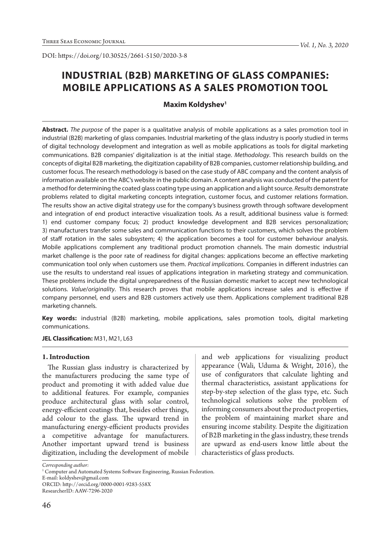DOI: https://doi.org/10.30525/2661-5150/2020-3-8

# **INDUSTRIAL (B2B) MARKETING OF GLASS COMPANIES: MOBILE APPLICATIONS AS A SALES PROMOTION TOOL**

# **Maxim Koldyshev1**

**Abstract.** *The purpose* of the paper is a qualitative analysis of mobile applications as a sales promotion tool in industrial (B2B) marketing of glass companies. Industrial marketing of the glass industry is poorly studied in terms of digital technology development and integration as well as mobile applications as tools for digital marketing communications. B2B companies' digitalization is at the initial stage. *Methodology*. This research builds on the concepts of digital B2B marketing, the digitization capability of B2B companies, customer relationship building, and customer focus. The research methodology is based on the case study of ABC company and the content analysis of information available on the ABC's website in the public domain. A content analysis was conducted of the patent for a method for determining the coated glass coating type using an application and a light source. *Results* demonstrate problems related to digital marketing concepts integration, customer focus, and customer relations formation. The results show an active digital strategy use for the company's business growth through software development and integration of end product interactive visualization tools. As a result, additional business value is formed: 1) end customer company focus; 2) product knowledge development and B2B services personalization; 3) manufacturers transfer some sales and communication functions to their customers, which solves the problem of staff rotation in the sales subsystem; 4) the application becomes a tool for customer behaviour analysis. Mobile applications complement any traditional product promotion channels. The main domestic industrial market challenge is the poor rate of readiness for digital changes: applications become an effective marketing communication tool only when customers use them. *Practical implications.* Companies in different industries can use the results to understand real issues of applications integration in marketing strategy and communication. These problems include the digital unpreparedness of the Russian domestic market to accept new technological solutions. *Value*/*originality*. This research proves that mobile applications increase sales and is effective if company personnel, end users and B2B customers actively use them. Applications complement traditional B2B marketing channels.

**Key words:** industrial (B2B) marketing, mobile applications, sales promotion tools, digital marketing communications.

**JEL Classification:** M31, M21, L63

#### **1. Introduction**

The Russian glass industry is characterized by the manufacturers producing the same type of product and promoting it with added value due to additional features. For example, companies produce architectural glass with solar control, energy-efficient coatings that, besides other things, add colour to the glass. The upward trend in manufacturing energy-efficient products provides a competitive advantage for manufacturers. Another important upward trend is business digitization, including the development of mobile

and web applications for visualizing product appearance (Wali, Uduma & Wright, 2016), the use of configurators that calculate lighting and thermal characteristics, assistant applications for step-by-step selection of the glass type, etc. Such technological solutions solve the problem of informing consumers about the product properties, the problem of maintaining market share and ensuring income stability. Despite the digitization of B2B marketing in the glass industry, these trends are upward as end-users know little about the characteristics of glass products.

*Corresponding author:*

E-mail: koldyshev@gmail.com

ORCID: http://orcid.org/0000-0001-9283-558X ResearcherID: AAW-7296-2020

<sup>&</sup>lt;sup>1</sup> Computer and Automated Systems Software Engineering, Russian Federation.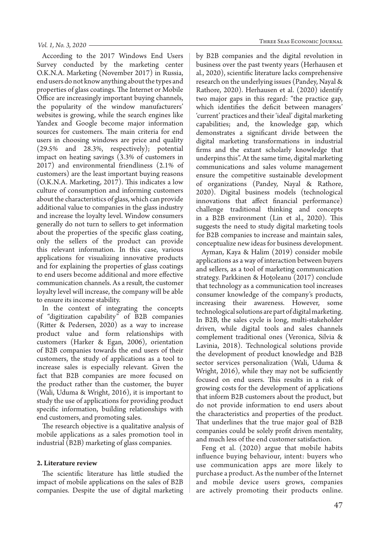According to the 2017 Windows End Users Survey conducted by the marketing center O.K.N.A. Marketing (November 2017) in Russia, end users do not know anything about the types and properties of glass coatings. The Internet or Mobile Office are increasingly important buying channels, the popularity of the window manufacturers' websites is growing, while the search engines like Yandex and Google become major information sources for customers. The main criteria for end users in choosing windows are price and quality (29.5% and 28.3%, respectively); potential impact on heating savings (3.3% of customers in 2017) and environmental friendliness (2.1% of customers) are the least important buying reasons (O.K.N.A. Marketing, 2017). This indicates a low culture of consumption and informing customers about the characteristics of glass, which can provide additional value to companies in the glass industry and increase the loyalty level. Window consumers generally do not turn to sellers to get information about the properties of the specific glass coating, only the sellers of the product can provide this relevant information. In this case, various applications for visualizing innovative products and for explaining the properties of glass coatings to end users become additional and more effective communication channels. As a result, the customer loyalty level will increase, the company will be able to ensure its income stability.

In the context of integrating the concepts of "digitization capability" of B2B companies (Ritter & Pedersen, 2020) as a way to increase product value and form relationships with customers (Harker & Egan, 2006), orientation of B2B companies towards the end users of their customers, the study of applications as a tool to increase sales is especially relevant. Given the fact that B2B companies are more focused on the product rather than the customer, the buyer (Wali, Uduma & Wright, 2016), it is important to study the use of applications for providing product specific information, building relationships with end customers, and promoting sales.

The research objective is a qualitative analysis of mobile applications as a sales promotion tool in industrial (B2B) marketing of glass companies.

## **2. Literature review**

The scientific literature has little studied the impact of mobile applications on the sales of B2B companies. Despite the use of digital marketing by B2B companies and the digital revolution in business over the past twenty years (Herhausen et al., 2020), scientific literature lacks comprehensive research on the underlying issues (Pandey, Nayal & Rathore, 2020). Herhausen et al. (2020) identify two major gaps in this regard: "the practice gap, which identifies the deficit between managers' 'current' practices and their 'ideal' digital marketing capabilities; and, the knowledge gap, which demonstrates a significant divide between the digital marketing transformations in industrial firms and the extant scholarly knowledge that underpins this". At the same time, digital marketing communications and sales volume management ensure the competitive sustainable development of organizations (Pandey, Nayal & Rathore, 2020). Digital business models (technological innovations that affect financial performance) challenge traditional thinking and concepts in a B2B environment (Lin et al., 2020). This suggests the need to study digital marketing tools

conceptualize new ideas for business development. Ayman, Kaya & Halim (2019) consider mobile applications as a way of interaction between buyers and sellers, as a tool of marketing communication strategy. Parkkinen & Hoțoleanu (2017) conclude that technology as a communication tool increases consumer knowledge of the company's products, increasing their awareness. However, some technological solutions are part of digital marketing. In B2B, the sales cycle is long, multi-stakeholder driven, while digital tools and sales channels complement traditional ones (Veronica, Silvia & Lavinia, 2018). Technological solutions provide the development of product knowledge and B2B sector services personalization (Wali, Uduma & Wright, 2016), while they may not be sufficiently focused on end users. This results in a risk of growing costs for the development of applications that inform B2B customers about the product, but do not provide information to end users about the characteristics and properties of the product. That underlines that the true major goal of B2B companies could be solely profit driven mentality, and much less of the end customer satisfaction.

for B2B companies to increase and maintain sales,

Feng et al. (2020) argue that mobile habits influence buying behaviour, intent: buyers who use communication apps are more likely to purchase a product. As the number of the Internet and mobile device users grows, companies are actively promoting their products online.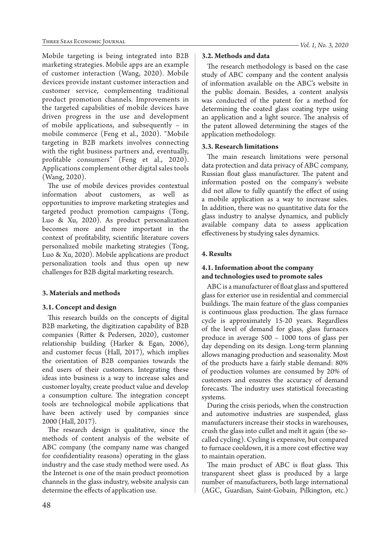Mobile targeting is being integrated into B2B marketing strategies. Mobile apps are an example of customer interaction (Wang, 2020). Mobile devices provide instant customer interaction and customer service, complementing traditional product promotion channels. Improvements in the targeted capabilities of mobile devices have driven progress in the use and development of mobile applications, and subsequently – in mobile commerce (Feng et al., 2020). "Mobile targeting in B2B markets involves connecting with the right business partners and, eventually, profitable consumers" (Feng et al., 2020). Applications complement other digital sales tools (Wang, 2020).

The use of mobile devices provides contextual information about customers, as well opportunities to improve marketing strategies and targeted product promotion campaigns (Tong, Luo & Xu, 2020). As product personalization becomes more and more important in the context of profitability, scientific literature covers personalized mobile marketing strategies (Tong, Luo & Xu, 2020). Mobile applications are product personalization tools and thus open up new challenges for B2B digital marketing research.

# **3. Materials and methods**

## **3.1. Concept and design**

This research builds on the concepts of digital B2B marketing, the digitization capability of B2B companies (Ritter & Pedersen, 2020), customer relationship building (Harker & Egan, 2006), and customer focus (Hall, 2017), which implies the orientation of B2B companies towards the end users of their customers. Integrating these ideas into business is a way to increase sales and customer loyalty, create product value and develop a consumption culture. The integration concept tools are technological mobile applications that have been actively used by companies since 2000 (Hall, 2017).

The research design is qualitative, since the methods of content analysis of the website of ABC company (the company name was changed for confidentiality reasons) operating in the glass industry and the case study method were used. As the Internet is one of the main product promotion channels in the glass industry, website analysis can determine the effects of application use.

#### *Vol. 1, No. 3, 2020*

## **3.2. Methods and data**

The research methodology is based on the case study of ABC company and the content analysis of information available on the ABC's website in the public domain. Besides, a content analysis was conducted of the patent for a method for determining the coated glass coating type using an application and a light source. The analysis of the patent allowed determining the stages of the application methodology.

# **3.3. Research limitations**

The main research limitations were personal data protection and data privacy of ABC company, Russian float glass manufacturer. The patent and information posted on the company's website did not allow to fully quantify the effect of using a mobile application as a way to increase sales. In addition, there was no quantitative data for the glass industry to analyse dynamics, and publicly available company data to assess application effectiveness by studying sales dynamics.

# **4. Results**

# **4.1. Information about the company and technologies used to promote sales**

ABC is a manufacturer of float glass and sputtered glass for exterior use in residential and commercial buildings. The main feature of the glass companies is continuous glass production. The glass furnace cycle is approximately 15-20 years. Regardless of the level of demand for glass, glass furnaces produce in average 500 – 1000 tons of glass per day depending on its design. Long-term planning allows managing production and seasonality. Most of the products have a fairly stable demand: 80% of production volumes are consumed by 20% of customers and ensures the accuracy of demand forecasts. The industry uses statistical forecasting systems.

During the crisis periods, when the construction and automotive industries are suspended, glass manufacturers increase their stocks in warehouses, crush the glass into cullet and melt it again (the socalled cycling). Cycling is expensive, but compared to furnace cooldown, it is a more cost effective way to maintain operation.

The main product of ABC is float glass. This transparent sheet glass is produced by a large number of manufacturers, both large international (AGC, Guardian, Saint-Gobain, Pilkington, etc.)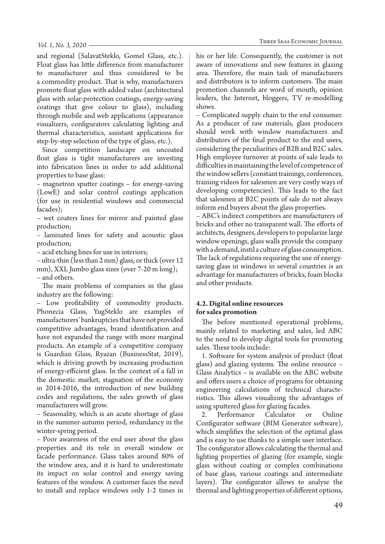and regional (SalavatSteklo, Gomel Glass, etc.). Float glass has little difference from manufacturer to manufacturer and thus considered to be a commodity product. That is why, manufacturers promote float glass with added value (architectural glass with solar-protection coatings, energy-saving coatings that give colour to glass), including through mobile and web applications (appearance visualizers, configurators calculating lighting and thermal characteristics, assistant applications for step-by-step selection of the type of glass, etc.).

Since competition landscape on uncoated float glass is tight manufacturers are investing into fabrication lines in order to add additional properties to base glass:

– magnetron sputter coatings – for energy-saving (LowE) and solar control coatings application (for use in residential windows and commercial facades);

– wet coaters lines for mirror and painted glass production;

– laminated lines for safety and acoustic glass production;

– acid etching lines for use in interiors;

– ultra-thin (less than 2 mm) glass, or thick (over 12 mm), XXL Jumbo glass sizes (over 7-20 m long); – and others.

The main problems of companies in the glass industry are the following:

– Low profitability of commodity products. Phonecia Glass, YugSteklo are examples of manufacturers' bankruptcies that have not provided competitive advantages, brand identification and have not expanded the range with more marginal products. An example of a competitive company is Guardian Glass, Ryazan (BusinessStat, 2019), which is driving growth by increasing production of energy-efficient glass. In the context of a fall in the domestic market, stagnation of the economy in 2014-2016, the introduction of new building codes and regulations, the sales growth of glass manufacturers will grow.

– Seasonality, which is an acute shortage of glass in the summer-autumn period, redundancy in the winter-spring period.

– Poor awareness of the end user about the glass properties and its role in overall window or facade performance. Glass takes around 80% of the window area, and it is hard to underestimate its impact on solar control and energy saving features of the window. A customer faces the need to install and replace windows only 1-2 times in

his or her life. Consequently, the customer is not aware of innovations and new features in glazing area. Therefore, the main task of manufacturers and distributors is to inform customers. The main promotion channels are word of mouth, opinion leaders, the Internet, bloggers, TV re-modelling shows.

– Complicated supply chain to the end consumer. As a producer of raw materials, glass producers should work with window manufacturers and distributors of the final product to the end users, considering the peculiarities of B2B and B2C sales. High employee turnover at points of sale leads to difficulties in maintaining the level of competence of the window sellers (constant trainings, conferences, training videos for salesmen are very costly ways of developing competencies). This leads to the fact that salesmen at B2C points of sale do not always inform end buyers about the glass properties.

– ABC's indirect competitors are manufacturers of bricks and other no transparent wall. The efforts of architects, designers, developers to popularize large window openings, glass walls provide the company with a demand, instil a culture of glass consumption. The lack of regulations requiring the use of energysaving glass in windows in several countries is an advantage for manufacturers of bricks, foam blocks and other products.

## **4.2. Digital online resources for sales promotion**

The before mentioned operational problems, mainly related to marketing and sales, led ABC to the need to develop digital tools for promoting sales. These tools include:

1. Software for system analysis of product (float glass) and glazing systems. The online resource – Glass Analytics – is available on the ABC website and offers users a choice of programs for obtaining engineering calculations of technical characteristics. This allows visualizing the advantages of using sputtered glass for glazing facades.

2. Performance Calculator or Online Configurator software (BIM Generator software), which simplifies the selection of the optimal glass and is easy to use thanks to a simple user interface. The configurator allows calculating the thermal and lighting properties of glazing (for example, single glass without coating or complex combinations of base glass, various coatings and intermediate layers). The configurator allows to analyse the thermal and lighting properties of different options,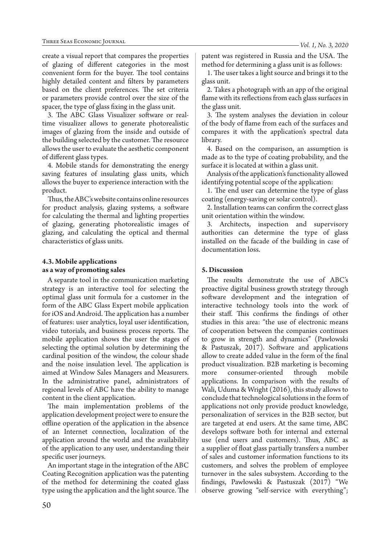create a visual report that compares the properties of glazing of different categories in the most convenient form for the buyer. The tool contains highly detailed content and filters by parameters based on the client preferences. The set criteria or parameters provide control over the size of the spacer, the type of glass fixing in the glass unit.

3. The ABC Glass Visualizer software or realtime visualizer allows to generate photorealistic images of glazing from the inside and outside of the building selected by the customer. The resource allows the user to evaluate the aesthetic component of different glass types.

4. Mobile stands for demonstrating the energy saving features of insulating glass units, which allows the buyer to experience interaction with the product.

Thus, the ABC's website contains online resources for product analysis, glazing systems, a software for calculating the thermal and lighting properties of glazing, generating photorealistic images of glazing, and calculating the optical and thermal characteristics of glass units.

# **4.3. Mobile applications as a way of promoting sales**

A separate tool in the communication marketing strategy is an interactive tool for selecting the optimal glass unit formula for a customer in the form of the ABC Glass Expert mobile application for iOS and Android. The application has a number of features: user analytics, loyal user identification, video tutorials, and business process reports. The mobile application shows the user the stages of selecting the optimal solution by determining the cardinal position of the window, the colour shade and the noise insulation level. The application is aimed at Window Sales Managers and Measurers. In the administrative panel, administrators of regional levels of ABC have the ability to manage content in the client application.

The main implementation problems of the application development project were to ensure the offline operation of the application in the absence of an Internet connection, localization of the application around the world and the availability of the application to any user, understanding their specific user journeys.

An important stage in the integration of the ABC Coating Recognition application was the patenting of the method for determining the coated glass type using the application and the light source. The patent was registered in Russia and the USA. The method for determining a glass unit is as follows:

1. The user takes a light source and brings it to the glass unit.

2. Takes a photograph with an app of the original flame with its reflections from each glass surfaces in the glass unit.

3. The system analyses the deviation in colour of the body of flame from each of the surfaces and compares it with the application's spectral data library.

4. Based on the comparison, an assumption is made as to the type of coating probability, and the surface it is located at within a glass unit.

Analysis of the application's functionality allowed identifying potential scope of the application:

1. The end user can determine the type of glass coating (energy-saving or solar control).

2. Installation teams can confirm the correct glass unit orientation within the window.

3. Architects, inspection and supervisory authorities can determine the type of glass installed on the facade of the building in case of documentation loss.

# **5. Discussion**

The results demonstrate the use of ABC's proactive digital business growth strategy through software development and the integration of interactive technology tools into the work of their staff. This confirms the findings of other studies in this area: "the use of electronic means of cooperation between the companies continues to grow in strength and dynamics" (Pawłowski & Pastuszak, 2017). Software and applications allow to create added value in the form of the final product visualization. B2B marketing is becoming more consumer-oriented through mobile applications. In comparison with the results of Wali, Uduma & Wright (2016), this study allows to conclude that technological solutions in the form of applications not only provide product knowledge, personalization of services in the B2B sector, but are targeted at end users. At the same time, ABC develops software both for internal and external use (end users and customers). Thus, ABC as a supplier of float glass partially transfers a number of sales and customer information functions to its customers, and solves the problem of employee turnover in the sales subsystem. According to the findings, Pawłowski & Pastuszak (2017) "We observe growing "self-service with everything";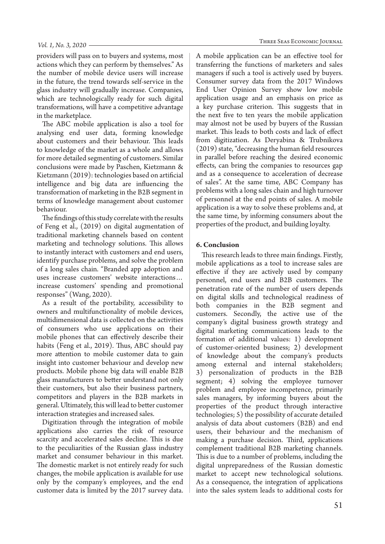#### *Vol. 1, No. 3, 2020*

providers will pass on to buyers and systems, most actions which they can perform by themselves." As the number of mobile device users will increase in the future, the trend towards self-service in the glass industry will gradually increase. Companies, which are technologically ready for such digital transformations, will have a competitive advantage in the marketplace.

The ABC mobile application is also a tool for analysing end user data, forming knowledge about customers and their behaviour. This leads to knowledge of the market as a whole and allows for more detailed segmenting of customers. Similar conclusions were made by Paschen, Kietzmann & Kietzmann (2019): technologies based on artificial intelligence and big data are influencing the transformation of marketing in the B2B segment in terms of knowledge management about customer behaviour.

The findings of this study correlate with the results of Feng et al., (2019) on digital augmentation of traditional marketing channels based on content marketing and technology solutions. This allows to instantly interact with customers and end users, identify purchase problems, and solve the problem of a long sales chain. "Branded app adoption and uses increase customers' website interactions… increase customers' spending and promotional responses" (Wang, 2020).

As a result of the portability, accessibility to owners and multifunctionality of mobile devices, multidimensional data is collected on the activities of consumers who use applications on their mobile phones that can effectively describe their habits (Feng et al., 2019). Thus, ABC should pay more attention to mobile customer data to gain insight into customer behaviour and develop new products. Mobile phone big data will enable B2B glass manufacturers to better understand not only their customers, but also their business partners, competitors and players in the B2B markets in general. Ultimately, this will lead to better customer interaction strategies and increased sales.

Digitization through the integration of mobile applications also carries the risk of resource scarcity and accelerated sales decline. This is due to the peculiarities of the Russian glass industry market and consumer behaviour in this market. The domestic market is not entirely ready for such changes, the mobile application is available for use only by the company's employees, and the end customer data is limited by the 2017 survey data.

A mobile application can be an effective tool for transferring the functions of marketers and sales managers if such a tool is actively used by buyers. Consumer survey data from the 2017 Windows End User Opinion Survey show low mobile application usage and an emphasis on price as a key purchase criterion. This suggests that in the next five to ten years the mobile application may almost not be used by buyers of the Russian market. This leads to both costs and lack of effect from digitization. As Deryabina & Trubnikova (2019) state, "decreasing the human field resources in parallel before reaching the desired economic effects, can bring the companies to resources gap and as a consequence to acceleration of decrease of sales". At the same time, ABC Company has problems with a long sales chain and high turnover of personnel at the end points of sales. A mobile application is a way to solve these problems and, at the same time, by informing consumers about the properties of the product, and building loyalty.

## **6. Conclusion**

This research leads to three main findings. Firstly, mobile applications as a tool to increase sales are effective if they are actively used by company personnel, end users and B2B customers. The penetration rate of the number of users depends on digital skills and technological readiness of both companies in the B2B segment and customers. Secondly, the active use of the company's digital business growth strategy and digital marketing communications leads to the formation of additional values: 1) development of customer-oriented business; 2) development of knowledge about the company's products among external and internal stakeholders; 3) personalization of products in the B2B segment; 4) solving the employee turnover problem and employee incompetence, primarily sales managers, by informing buyers about the properties of the product through interactive technologies; 5) the possibility of accurate detailed analysis of data about customers (B2B) and end users, their behaviour and the mechanism of making a purchase decision. Third, applications complement traditional B2B marketing channels. This is due to a number of problems, including the digital unpreparedness of the Russian domestic market to accept new technological solutions. As a consequence, the integration of applications into the sales system leads to additional costs for